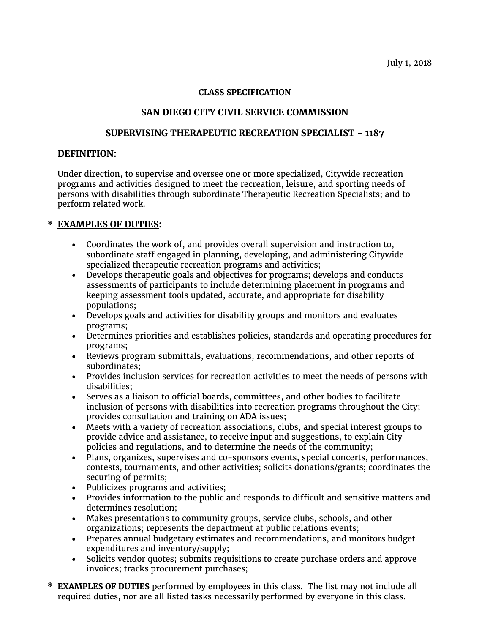#### **CLASS SPECIFICATION**

### **SAN DIEGO CITY CIVIL SERVICE COMMISSION**

#### **SUPERVISING THERAPEUTIC RECREATION SPECIALIST - 1187**

#### **DEFINITION:**

Under direction, to supervise and oversee one or more specialized, Citywide recreation programs and activities designed to meet the recreation, leisure, and sporting needs of persons with disabilities through subordinate Therapeutic Recreation Specialists; and to perform related work.

## **\* EXAMPLES OF DUTIES:**

- Coordinates the work of, and provides overall supervision and instruction to, subordinate staff engaged in planning, developing, and administering Citywide specialized therapeutic recreation programs and activities;
- Develops therapeutic goals and objectives for programs; develops and conducts assessments of participants to include determining placement in programs and keeping assessment tools updated, accurate, and appropriate for disability populations;
- Develops goals and activities for disability groups and monitors and evaluates programs;
- Determines priorities and establishes policies, standards and operating procedures for programs;
- Reviews program submittals, evaluations, recommendations, and other reports of subordinates;
- Provides inclusion services for recreation activities to meet the needs of persons with disabilities;
- Serves as a liaison to official boards, committees, and other bodies to facilitate inclusion of persons with disabilities into recreation programs throughout the City; provides consultation and training on ADA issues;
- Meets with a variety of recreation associations, clubs, and special interest groups to provide advice and assistance, to receive input and suggestions, to explain City policies and regulations, and to determine the needs of the community;
- Plans, organizes, supervises and co-sponsors events, special concerts, performances, contests, tournaments, and other activities; solicits donations/grants; coordinates the securing of permits;
- Publicizes programs and activities;
- Provides information to the public and responds to difficult and sensitive matters and determines resolution;
- Makes presentations to community groups, service clubs, schools, and other organizations; represents the department at public relations events;
- Prepares annual budgetary estimates and recommendations, and monitors budget expenditures and inventory/supply;
- Solicits vendor quotes; submits requisitions to create purchase orders and approve invoices; tracks procurement purchases;
- **\* EXAMPLES OF DUTIES** performed by employees in this class. The list may not include all required duties, nor are all listed tasks necessarily performed by everyone in this class.